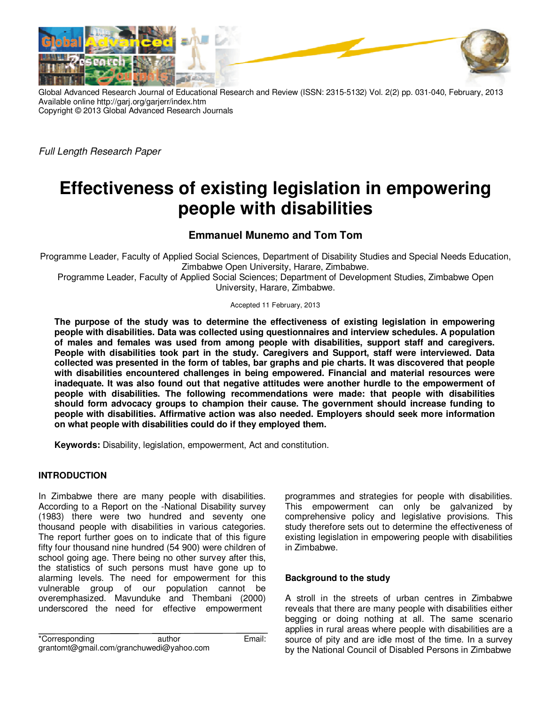

Global Advanced Research Journal of Educational Research and Review (ISSN: 2315-5132) Vol. 2(2) pp. 031-040, February, 2013 Available online http://garj.org/garjerr/index.htm Copyright © 2013 Global Advanced Research Journals

*Full Length Research Paper*

# **Effectiveness of existing legislation in empowering people with disabilities**

## **Emmanuel Munemo and Tom Tom**

Programme Leader, Faculty of Applied Social Sciences, Department of Disability Studies and Special Needs Education, Zimbabwe Open University, Harare, Zimbabwe.

Programme Leader, Faculty of Applied Social Sciences; Department of Development Studies, Zimbabwe Open University, Harare, Zimbabwe.

Accepted 11 February, 2013

**The purpose of the study was to determine the effectiveness of existing legislation in empowering people with disabilities. Data was collected using questionnaires and interview schedules. A population of males and females was used from among people with disabilities, support staff and caregivers. People with disabilities took part in the study. Caregivers and Support, staff were interviewed. Data collected was presented in the form of tables, bar graphs and pie charts. It was discovered that people with disabilities encountered challenges in being empowered. Financial and material resources were inadequate. It was also found out that negative attitudes were another hurdle to the empowerment of people with disabilities. The following recommendations were made: that people with disabilities should form advocacy groups to champion their cause. The government should increase funding to people with disabilities. Affirmative action was also needed. Employers should seek more information on what people with disabilities could do if they employed them.** 

**Keywords:** Disability, legislation, empowerment, Act and constitution.

## **INTRODUCTION**

In Zimbabwe there are many people with disabilities. According to a Report on the -National Disability survey (1983) there were two hundred and seventy one thousand people with disabilities in various categories. The report further goes on to indicate that of this figure fifty four thousand nine hundred (54 900) were children of school going age. There being no other survey after this, the statistics of such persons must have gone up to alarming levels. The need for empowerment for this vulnerable group of our population cannot be overemphasized. Mavunduke and Thembani (2000) underscored the need for effective empowerment

\*Corresponding author author Email: grantomt@gmail.com/granchuwedi@yahoo.com

programmes and strategies for people with disabilities. This empowerment can only be galvanized by comprehensive policy and legislative provisions. This study therefore sets out to determine the effectiveness of existing legislation in empowering people with disabilities in Zimbabwe.

## **Background to the study**

A stroll in the streets of urban centres in Zimbabwe reveals that there are many people with disabilities either begging or doing nothing at all. The same scenario applies in rural areas where people with disabilities are a source of pity and are idle most of the time. In a survey by the National Council of Disabled Persons in Zimbabwe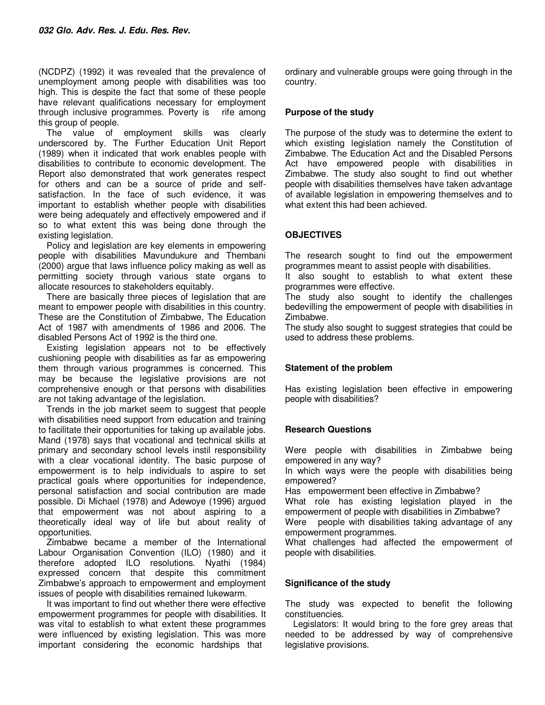(NCDPZ) (1992) it was revealed that the prevalence of unemployment among people with disabilities was too high. This is despite the fact that some of these people have relevant qualifications necessary for employment through inclusive programmes. Poverty is rife among this group of people.

The value of employment skills was clearly underscored by. The Further Education Unit Report (1989) when it indicated that work enables people with disabilities to contribute to economic development. The Report also demonstrated that work generates respect for others and can be a source of pride and selfsatisfaction. In the face of such evidence, it was important to establish whether people with disabilities were being adequately and effectively empowered and if so to what extent this was being done through the existing legislation.

Policy and legislation are key elements in empowering people with disabilities Mavundukure and Thembani (2000) argue that laws influence policy making as well as permitting society through various state organs to allocate resources to stakeholders equitably.

There are basically three pieces of legislation that are meant to empower people with disabilities in this country. These are the Constitution of Zimbabwe, The Education Act of 1987 with amendments of 1986 and 2006. The disabled Persons Act of 1992 is the third one.

Existing legislation appears not to be effectively cushioning people with disabilities as far as empowering them through various programmes is concerned. This may be because the legislative provisions are not comprehensive enough or that persons with disabilities are not taking advantage of the legislation.

Trends in the job market seem to suggest that people with disabilities need support from education and training to facilitate their opportunities for taking up available jobs. Mand (1978) says that vocational and technical skills at primary and secondary school levels instil responsibility with a clear vocational identity. The basic purpose of empowerment is to help individuals to aspire to set practical goals where opportunities for independence, personal satisfaction and social contribution are made possible. Di Michael (1978) and Adewoye (1996) argued that empowerment was not about aspiring to a theoretically ideal way of life but about reality of opportunities.

Zimbabwe became a member of the International Labour Organisation Convention (ILO) (1980) and it therefore adopted ILO resolutions. Nyathi (1984) expressed concern that despite this commitment Zimbabwe's approach to empowerment and employment issues of people with disabilities remained lukewarm.

It was important to find out whether there were effective empowerment programmes for people with disabilities. It was vital to establish to what extent these programmes were influenced by existing legislation. This was more important considering the economic hardships that

ordinary and vulnerable groups were going through in the country.

## **Purpose of the study**

The purpose of the study was to determine the extent to which existing legislation namely the Constitution of Zimbabwe. The Education Act and the Disabled Persons Act have empowered people with disabilities in Zimbabwe. The study also sought to find out whether people with disabilities themselves have taken advantage of available legislation in empowering themselves and to what extent this had been achieved.

## **OBJECTIVES**

The research sought to find out the empowerment programmes meant to assist people with disabilities.

It also sought to establish to what extent these programmes were effective.

The study also sought to identify the challenges bedevilling the empowerment of people with disabilities in Zimbabwe.

The study also sought to suggest strategies that could be used to address these problems.

#### **Statement of the problem**

Has existing legislation been effective in empowering people with disabilities?

#### **Research Questions**

Were people with disabilities in Zimbabwe being empowered in any way?

In which ways were the people with disabilities being empowered?

Has empowerment been effective in Zimbabwe?

What role has existing legislation played in the empowerment of people with disabilities in Zimbabwe?

Were people with disabilities taking advantage of any empowerment programmes.

What challenges had affected the empowerment of people with disabilities.

#### **Significance of the study**

The study was expected to benefit the following constituencies.

Legislators: It would bring to the fore grey areas that needed to be addressed by way of comprehensive legislative provisions.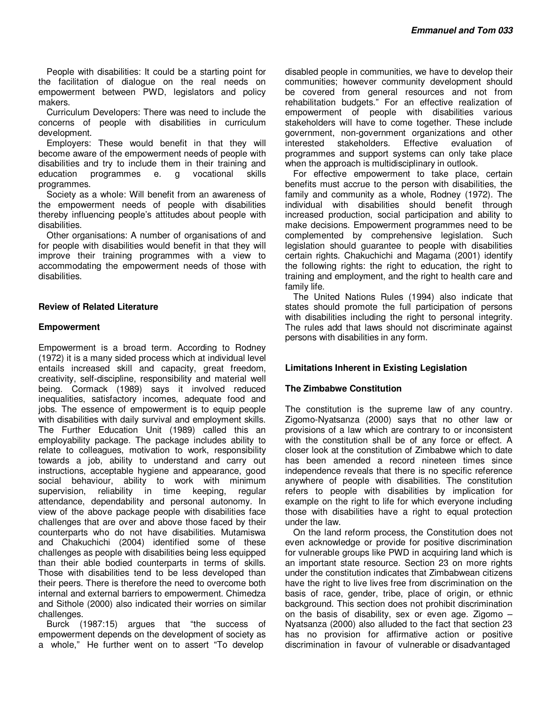People with disabilities: It could be a starting point for the facilitation of dialogue on the real needs on empowerment between PWD, legislators and policy makers.

Curriculum Developers: There was need to include the concerns of people with disabilities in curriculum development.

Employers: These would benefit in that they will become aware of the empowerment needs of people with disabilities and try to include them in their training and education programmes e. g vocational skills programmes.

Society as a whole: Will benefit from an awareness of the empowerment needs of people with disabilities thereby influencing people's attitudes about people with disabilities.

Other organisations: A number of organisations of and for people with disabilities would benefit in that they will improve their training programmes with a view to accommodating the empowerment needs of those with disabilities.

### **Review of Related Literature**

#### **Empowerment**

Empowerment is a broad term. According to Rodney (1972) it is a many sided process which at individual level entails increased skill and capacity, great freedom, creativity, self-discipline, responsibility and material well being. Cormack (1989) says it involved reduced inequalities, satisfactory incomes, adequate food and jobs. The essence of empowerment is to equip people with disabilities with daily survival and employment skills. The Further Education Unit (1989) called this an employability package. The package includes ability to relate to colleagues, motivation to work, responsibility towards a job, ability to understand and carry out instructions, acceptable hygiene and appearance, good social behaviour, ability to work with minimum supervision, reliability in time keeping, regular attendance, dependability and personal autonomy. In view of the above package people with disabilities face challenges that are over and above those faced by their counterparts who do not have disabilities. Mutamiswa and Chakuchichi (2004) identified some of these challenges as people with disabilities being less equipped than their able bodied counterparts in terms of skills. Those with disabilities tend to be less developed than their peers. There is therefore the need to overcome both internal and external barriers to empowerment. Chimedza and Sithole (2000) also indicated their worries on similar challenges.

Burck (1987:15) argues that "the success of empowerment depends on the development of society as a whole," He further went on to assert "To develop

disabled people in communities, we have to develop their communities; however community development should be covered from general resources and not from rehabilitation budgets." For an effective realization of empowerment of people with disabilities various stakeholders will have to come together. These include government, non-government organizations and other interested stakeholders. Effective evaluation of programmes and support systems can only take place when the approach is multidisciplinary in outlook.

For effective empowerment to take place, certain benefits must accrue to the person with disabilities, the family and community as a whole, Rodney (1972). The individual with disabilities should benefit through increased production, social participation and ability to make decisions. Empowerment programmes need to be complemented by comprehensive legislation. Such legislation should guarantee to people with disabilities certain rights. Chakuchichi and Magama (2001) identify the following rights: the right to education, the right to training and employment, and the right to health care and family life.

The United Nations Rules (1994) also indicate that states should promote the full participation of persons with disabilities including the right to personal integrity. The rules add that laws should not discriminate against persons with disabilities in any form.

## **Limitations Inherent in Existing Legislation**

#### **The Zimbabwe Constitution**

The constitution is the supreme law of any country. Zigomo-Nyatsanza (2000) says that no other law or provisions of a law which are contrary to or inconsistent with the constitution shall be of any force or effect. A closer look at the constitution of Zimbabwe which to date has been amended a record nineteen times since independence reveals that there is no specific reference anywhere of people with disabilities. The constitution refers to people with disabilities by implication for example on the right to life for which everyone including those with disabilities have a right to equal protection under the law.

On the land reform process, the Constitution does not even acknowledge or provide for positive discrimination for vulnerable groups like PWD in acquiring land which is an important state resource. Section 23 on more rights under the constitution indicates that Zimbabwean citizens have the right to live lives free from discrimination on the basis of race, gender, tribe, place of origin, or ethnic background. This section does not prohibit discrimination on the basis of disability, sex or even age. Zigomo – Nyatsanza (2000) also alluded to the fact that section 23 has no provision for affirmative action or positive discrimination in favour of vulnerable or disadvantaged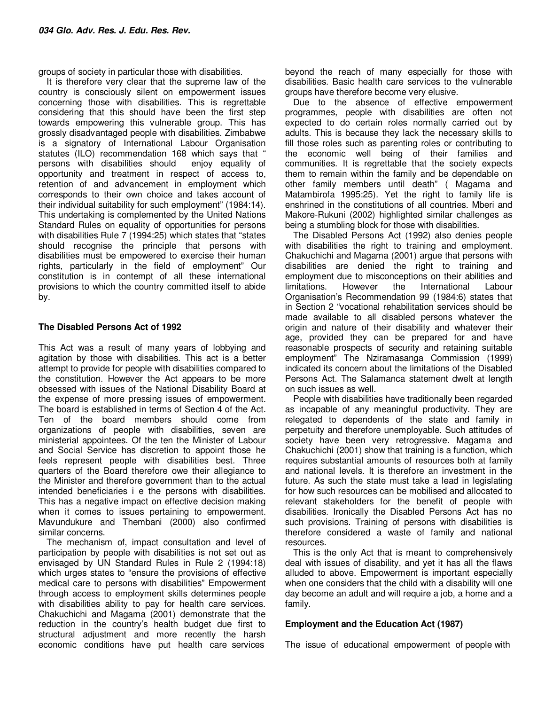groups of society in particular those with disabilities.

It is therefore very clear that the supreme law of the country is consciously silent on empowerment issues concerning those with disabilities. This is regrettable considering that this should have been the first step towards empowering this vulnerable group. This has grossly disadvantaged people with disabilities. Zimbabwe is a signatory of International Labour Organisation statutes (ILO) recommendation 168 which says that "<br>persons with disabilities should enjoy equality of persons with disabilities should opportunity and treatment in respect of access to, retention of and advancement in employment which corresponds to their own choice and takes account of their individual suitability for such employment" (1984:14). This undertaking is complemented by the United Nations Standard Rules on equality of opportunities for persons with disabilities Rule 7 (1994:25) which states that "states should recognise the principle that persons with disabilities must be empowered to exercise their human rights, particularly in the field of employment" Our constitution is in contempt of all these international provisions to which the country committed itself to abide by.

#### **The Disabled Persons Act of 1992**

This Act was a result of many years of lobbying and agitation by those with disabilities. This act is a better attempt to provide for people with disabilities compared to the constitution. However the Act appears to be more obsessed with issues of the National Disability Board at the expense of more pressing issues of empowerment. The board is established in terms of Section 4 of the Act. Ten of the board members should come from organizations of people with disabilities, seven are ministerial appointees. Of the ten the Minister of Labour and Social Service has discretion to appoint those he feels represent people with disabilities best. Three quarters of the Board therefore owe their allegiance to the Minister and therefore government than to the actual intended beneficiaries i e the persons with disabilities. This has a negative impact on effective decision making when it comes to issues pertaining to empowerment. Mavundukure and Thembani (2000) also confirmed similar concerns.

The mechanism of, impact consultation and level of participation by people with disabilities is not set out as envisaged by UN Standard Rules in Rule 2 (1994:18) which urges states to "ensure the provisions of effective medical care to persons with disabilities" Empowerment through access to employment skills determines people with disabilities ability to pay for health care services. Chakuchichi and Magama (2001) demonstrate that the reduction in the country's health budget due first to structural adjustment and more recently the harsh economic conditions have put health care services

beyond the reach of many especially for those with disabilities. Basic health care services to the vulnerable groups have therefore become very elusive.

Due to the absence of effective empowerment programmes, people with disabilities are often not expected to do certain roles normally carried out by adults. This is because they lack the necessary skills to fill those roles such as parenting roles or contributing to the economic well being of their families and communities. It is regrettable that the society expects them to remain within the family and be dependable on other family members until death" ( Magama and Matambirofa 1995:25). Yet the right to family life is enshrined in the constitutions of all countries. Mberi and Makore-Rukuni (2002) highlighted similar challenges as being a stumbling block for those with disabilities.

The Disabled Persons Act (1992) also denies people with disabilities the right to training and employment. Chakuchichi and Magama (2001) argue that persons with disabilities are denied the right to training and employment due to misconceptions on their abilities and limitations. However the International Labour Organisation's Recommendation 99 (1984:6) states that in Section 2 "vocational rehabilitation services should be made available to all disabled persons whatever the origin and nature of their disability and whatever their age, provided they can be prepared for and have reasonable prospects of security and retaining suitable employment" The Nziramasanga Commission (1999) indicated its concern about the limitations of the Disabled Persons Act. The Salamanca statement dwelt at length on such issues as well.

People with disabilities have traditionally been regarded as incapable of any meaningful productivity. They are relegated to dependents of the state and family in perpetuity and therefore unemployable. Such attitudes of society have been very retrogressive. Magama and Chakuchichi (2001) show that training is a function, which requires substantial amounts of resources both at family and national levels. It is therefore an investment in the future. As such the state must take a lead in legislating for how such resources can be mobilised and allocated to relevant stakeholders for the benefit of people with disabilities. Ironically the Disabled Persons Act has no such provisions. Training of persons with disabilities is therefore considered a waste of family and national resources.

This is the only Act that is meant to comprehensively deal with issues of disability, and yet it has all the flaws alluded to above. Empowerment is important especially when one considers that the child with a disability will one day become an adult and will require a job, a home and a family.

#### **Employment and the Education Act (1987)**

The issue of educational empowerment of people with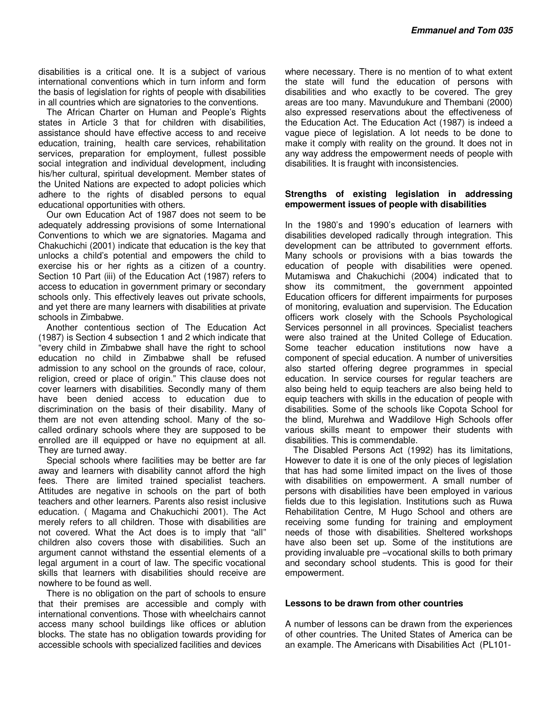disabilities is a critical one. It is a subject of various international conventions which in turn inform and form the basis of legislation for rights of people with disabilities in all countries which are signatories to the conventions.

The African Charter on Human and People's Rights states in Article 3 that for children with disabilities, assistance should have effective access to and receive education, training, health care services, rehabilitation services, preparation for employment, fullest possible social integration and individual development, including his/her cultural, spiritual development. Member states of the United Nations are expected to adopt policies which adhere to the rights of disabled persons to equal educational opportunities with others.

Our own Education Act of 1987 does not seem to be adequately addressing provisions of some International Conventions to which we are signatories. Magama and Chakuchichi (2001) indicate that education is the key that unlocks a child's potential and empowers the child to exercise his or her rights as a citizen of a country. Section 10 Part (iii) of the Education Act (1987) refers to access to education in government primary or secondary schools only. This effectively leaves out private schools, and yet there are many learners with disabilities at private schools in Zimbabwe.

Another contentious section of The Education Act (1987) is Section 4 subsection 1 and 2 which indicate that "every child in Zimbabwe shall have the right to school education no child in Zimbabwe shall be refused admission to any school on the grounds of race, colour, religion, creed or place of origin." This clause does not cover learners with disabilities. Secondly many of them have been denied access to education due to discrimination on the basis of their disability. Many of them are not even attending school. Many of the socalled ordinary schools where they are supposed to be enrolled are ill equipped or have no equipment at all. They are turned away.

Special schools where facilities may be better are far away and learners with disability cannot afford the high fees. There are limited trained specialist teachers. Attitudes are negative in schools on the part of both teachers and other learners. Parents also resist inclusive education. ( Magama and Chakuchichi 2001). The Act merely refers to all children. Those with disabilities are not covered. What the Act does is to imply that "all" children also covers those with disabilities. Such an argument cannot withstand the essential elements of a legal argument in a court of law. The specific vocational skills that learners with disabilities should receive are nowhere to be found as well.

There is no obligation on the part of schools to ensure that their premises are accessible and comply with international conventions. Those with wheelchairs cannot access many school buildings like offices or ablution blocks. The state has no obligation towards providing for accessible schools with specialized facilities and devices

where necessary. There is no mention of to what extent the state will fund the education of persons with disabilities and who exactly to be covered. The grey areas are too many. Mavundukure and Thembani (2000) also expressed reservations about the effectiveness of the Education Act. The Education Act (1987) is indeed a vague piece of legislation. A lot needs to be done to make it comply with reality on the ground. It does not in any way address the empowerment needs of people with disabilities. It is fraught with inconsistencies.

#### **Strengths of existing legislation in addressing empowerment issues of people with disabilities**

In the 1980's and 1990's education of learners with disabilities developed radically through integration. This development can be attributed to government efforts. Many schools or provisions with a bias towards the education of people with disabilities were opened. Mutamiswa and Chakuchichi (2004) indicated that to show its commitment, the government appointed Education officers for different impairments for purposes of monitoring, evaluation and supervision. The Education officers work closely with the Schools Psychological Services personnel in all provinces. Specialist teachers were also trained at the United College of Education. Some teacher education institutions now have a component of special education. A number of universities also started offering degree programmes in special education. In service courses for regular teachers are also being held to equip teachers are also being held to equip teachers with skills in the education of people with disabilities. Some of the schools like Copota School for the blind, Murehwa and Waddilove High Schools offer various skills meant to empower their students with disabilities. This is commendable.

The Disabled Persons Act (1992) has its limitations, However to date it is one of the only pieces of legislation that has had some limited impact on the lives of those with disabilities on empowerment. A small number of persons with disabilities have been employed in various fields due to this legislation. Institutions such as Ruwa Rehabilitation Centre, M Hugo School and others are receiving some funding for training and employment needs of those with disabilities. Sheltered workshops have also been set up. Some of the institutions are providing invaluable pre –vocational skills to both primary and secondary school students. This is good for their empowerment.

#### **Lessons to be drawn from other countries**

A number of lessons can be drawn from the experiences of other countries. The United States of America can be an example. The Americans with Disabilities Act (PL101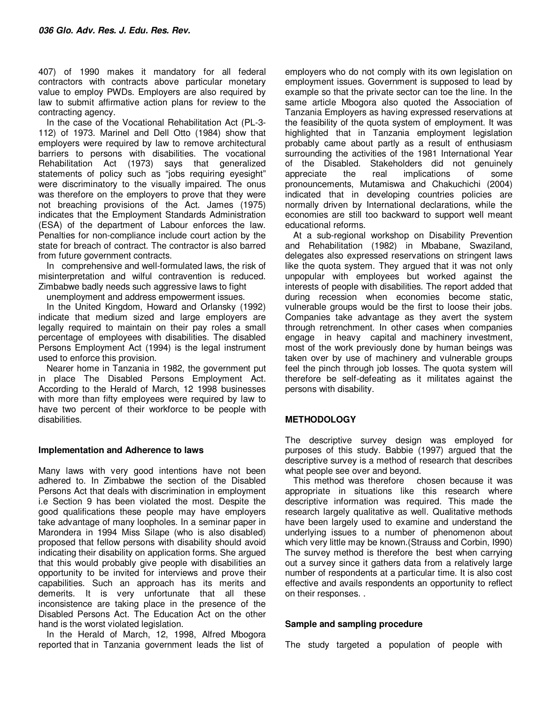407) of 1990 makes it mandatory for all federal contractors with contracts above particular monetary value to employ PWDs. Employers are also required by law to submit affirmative action plans for review to the contracting agency.

In the case of the Vocational Rehabilitation Act (PL-3- 112) of 1973. Marinel and Dell Otto (1984) show that employers were required by law to remove architectural barriers to persons with disabilities. The vocational Rehabilitation Act (1973) says that generalized statements of policy such as "jobs requiring eyesight" were discriminatory to the visually impaired. The onus was therefore on the employers to prove that they were not breaching provisions of the Act. James (1975) indicates that the Employment Standards Administration (ESA) of the department of Labour enforces the law. Penalties for non-compliance include court action by the state for breach of contract. The contractor is also barred from future government contracts.

In comprehensive and well-formulated laws, the risk of misinterpretation and wilful contravention is reduced. Zimbabwe badly needs such aggressive laws to fight

unemployment and address empowerment issues.

In the United Kingdom, Howard and Orlansky (1992) indicate that medium sized and large employers are legally required to maintain on their pay roles a small percentage of employees with disabilities. The disabled Persons Employment Act (1994) is the legal instrument used to enforce this provision.

Nearer home in Tanzania in 1982, the government put in place The Disabled Persons Employment Act. According to the Herald of March, 12 1998 businesses with more than fifty employees were required by law to have two percent of their workforce to be people with disabilities.

#### **Implementation and Adherence to laws**

Many laws with very good intentions have not been adhered to. In Zimbabwe the section of the Disabled Persons Act that deals with discrimination in employment i.e Section 9 has been violated the most. Despite the good qualifications these people may have employers take advantage of many loopholes. In a seminar paper in Marondera in 1994 Miss Silape (who is also disabled) proposed that fellow persons with disability should avoid indicating their disability on application forms. She argued that this would probably give people with disabilities an opportunity to be invited for interviews and prove their capabilities. Such an approach has its merits and demerits. It is very unfortunate that all these inconsistence are taking place in the presence of the Disabled Persons Act. The Education Act on the other hand is the worst violated legislation.

In the Herald of March, 12, 1998, Alfred Mbogora reported that in Tanzania government leads the list of

employers who do not comply with its own legislation on employment issues. Government is supposed to lead by example so that the private sector can toe the line. In the same article Mbogora also quoted the Association of Tanzania Employers as having expressed reservations at the feasibility of the quota system of employment. It was highlighted that in Tanzania employment legislation probably came about partly as a result of enthusiasm surrounding the activities of the 1981 International Year of the Disabled. Stakeholders did not genuinely appreciate the real implications of some pronouncements, Mutamiswa and Chakuchichi (2004) indicated that in developing countries policies are normally driven by International declarations, while the economies are still too backward to support well meant educational reforms.

At a sub-regional workshop on Disability Prevention and Rehabilitation (1982) in Mbabane, Swaziland, delegates also expressed reservations on stringent laws like the quota system. They argued that it was not only unpopular with employees but worked against the interests of people with disabilities. The report added that during recession when economies become static, vulnerable groups would be the first to loose their jobs. Companies take advantage as they avert the system through retrenchment. In other cases when companies engage in heavy capital and machinery investment, most of the work previously done by human beings was taken over by use of machinery and vulnerable groups feel the pinch through job losses. The quota system will therefore be self-defeating as it militates against the persons with disability.

## **METHODOLOGY**

The descriptive survey design was employed for purposes of this study. Babbie (1997) argued that the descriptive survey is a method of research that describes what people see over and beyond.

This method was therefore chosen because it was appropriate in situations like this research where descriptive information was required. This made the research largely qualitative as well. Qualitative methods have been largely used to examine and understand the underlying issues to a number of phenomenon about which very little may be known.(Strauss and Corbin, I990) The survey method is therefore the best when carrying out a survey since it gathers data from a relatively large number of respondents at a particular time. It is also cost effective and avails respondents an opportunity to reflect on their responses. .

#### **Sample and sampling procedure**

The study targeted a population of people with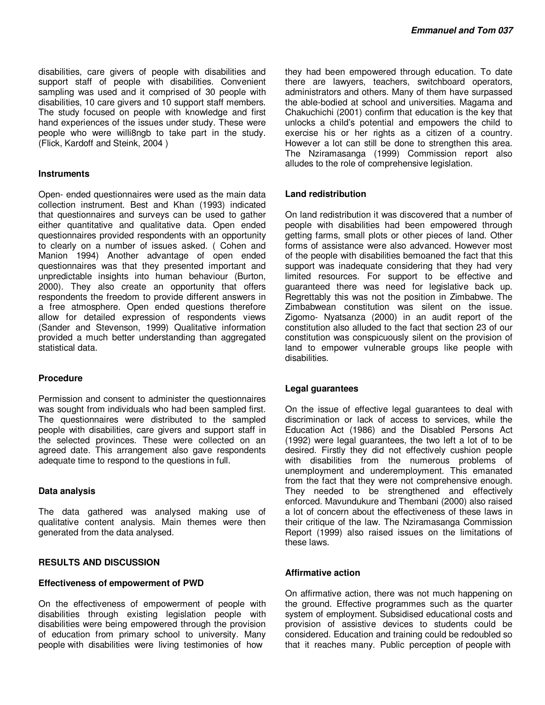disabilities, care givers of people with disabilities and support staff of people with disabilities. Convenient sampling was used and it comprised of 30 people with disabilities, 10 care givers and 10 support staff members. The study focused on people with knowledge and first hand experiences of the issues under study. These were people who were willi8ngb to take part in the study. (Flick, Kardoff and Steink, 2004 )

#### **Instruments**

Open- ended questionnaires were used as the main data collection instrument. Best and Khan (1993) indicated that questionnaires and surveys can be used to gather either quantitative and qualitative data. Open ended questionnaires provided respondents with an opportunity to clearly on a number of issues asked. ( Cohen and Manion 1994) Another advantage of open ended questionnaires was that they presented important and unpredictable insights into human behaviour (Burton, 2000). They also create an opportunity that offers respondents the freedom to provide different answers in a free atmosphere. Open ended questions therefore allow for detailed expression of respondents views (Sander and Stevenson, 1999) Qualitative information provided a much better understanding than aggregated statistical data.

#### **Procedure**

Permission and consent to administer the questionnaires was sought from individuals who had been sampled first. The questionnaires were distributed to the sampled people with disabilities, care givers and support staff in the selected provinces. These were collected on an agreed date. This arrangement also gave respondents adequate time to respond to the questions in full.

#### **Data analysis**

The data gathered was analysed making use of qualitative content analysis. Main themes were then generated from the data analysed.

#### **RESULTS AND DISCUSSION**

#### **Effectiveness of empowerment of PWD**

On the effectiveness of empowerment of people with disabilities through existing legislation people with disabilities were being empowered through the provision of education from primary school to university. Many people with disabilities were living testimonies of how

they had been empowered through education. To date there are lawyers, teachers, switchboard operators, administrators and others. Many of them have surpassed the able-bodied at school and universities. Magama and Chakuchichi (2001) confirm that education is the key that unlocks a child's potential and empowers the child to exercise his or her rights as a citizen of a country. However a lot can still be done to strengthen this area. The Nziramasanga (1999) Commission report also alludes to the role of comprehensive legislation.

#### **Land redistribution**

On land redistribution it was discovered that a number of people with disabilities had been empowered through getting farms, small plots or other pieces of land. Other forms of assistance were also advanced. However most of the people with disabilities bemoaned the fact that this support was inadequate considering that they had very limited resources. For support to be effective and guaranteed there was need for legislative back up. Regrettably this was not the position in Zimbabwe. The Zimbabwean constitution was silent on the issue. Zigomo- Nyatsanza (2000) in an audit report of the constitution also alluded to the fact that section 23 of our constitution was conspicuously silent on the provision of land to empower vulnerable groups like people with disabilities.

#### **Legal guarantees**

On the issue of effective legal guarantees to deal with discrimination or lack of access to services, while the Education Act (1986) and the Disabled Persons Act (1992) were legal guarantees, the two left a lot of to be desired. Firstly they did not effectively cushion people with disabilities from the numerous problems of unemployment and underemployment. This emanated from the fact that they were not comprehensive enough. They needed to be strengthened and effectively enforced. Mavundukure and Thembani (2000) also raised a lot of concern about the effectiveness of these laws in their critique of the law. The Nziramasanga Commission Report (1999) also raised issues on the limitations of these laws.

#### **Affirmative action**

On affirmative action, there was not much happening on the ground. Effective programmes such as the quarter system of employment. Subsidised educational costs and provision of assistive devices to students could be considered. Education and training could be redoubled so that it reaches many. Public perception of people with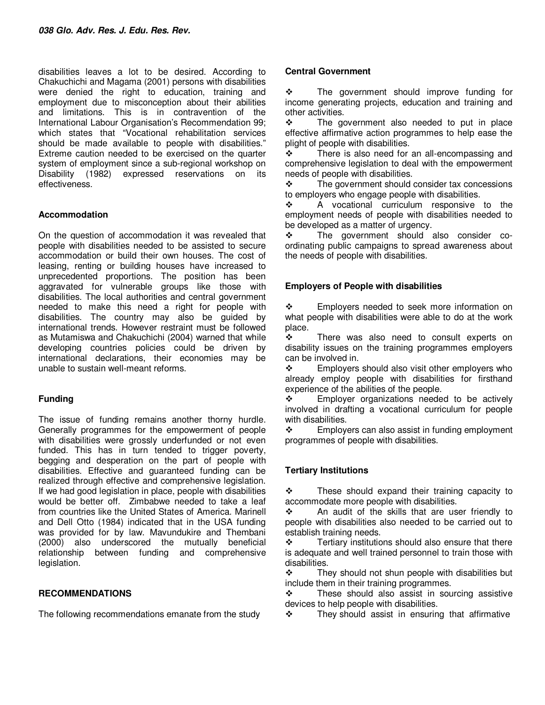disabilities leaves a lot to be desired. According to Chakuchichi and Magama (2001) persons with disabilities were denied the right to education, training and employment due to misconception about their abilities and limitations. This is in contravention of the International Labour Organisation's Recommendation 99; which states that "Vocational rehabilitation services should be made available to people with disabilities." Extreme caution needed to be exercised on the quarter system of employment since a sub-regional workshop on Disability (1982) expressed reservations on its effectiveness.

## **Accommodation**

On the question of accommodation it was revealed that people with disabilities needed to be assisted to secure accommodation or build their own houses. The cost of leasing, renting or building houses have increased to unprecedented proportions. The position has been aggravated for vulnerable groups like those with disabilities. The local authorities and central government needed to make this need a right for people with disabilities. The country may also be guided by international trends. However restraint must be followed as Mutamiswa and Chakuchichi (2004) warned that while developing countries policies could be driven by international declarations, their economies may be unable to sustain well-meant reforms.

## **Funding**

The issue of funding remains another thorny hurdle. Generally programmes for the empowerment of people with disabilities were grossly underfunded or not even funded. This has in turn tended to trigger poverty, begging and desperation on the part of people with disabilities. Effective and guaranteed funding can be realized through effective and comprehensive legislation. If we had good legislation in place, people with disabilities would be better off. Zimbabwe needed to take a leaf from countries like the United States of America. Marinell and Dell Otto (1984) indicated that in the USA funding was provided for by law. Mavundukire and Thembani (2000) also underscored the mutually beneficial relationship between funding and comprehensive legislation.

## **RECOMMENDATIONS**

The following recommendations emanate from the study

## **Central Government**

 $\div$  The government should improve funding for income generating projects, education and training and other activities.

 $\div$  The government also needed to put in place effective affirmative action programmes to help ease the plight of people with disabilities.

 $\cdot \cdot$  There is also need for an all-encompassing and comprehensive legislation to deal with the empowerment needs of people with disabilities.

 $\cdot \cdot$  The government should consider tax concessions to employers who engage people with disabilities.

 A vocational curriculum responsive to the employment needs of people with disabilities needed to be developed as a matter of urgency.

 The government should also consider coordinating public campaigns to spread awareness about the needs of people with disabilities.

# **Employers of People with disabilities**

 Employers needed to seek more information on what people with disabilities were able to do at the work place.<br>❖

 There was also need to consult experts on disability issues on the training programmes employers can be involved in.

 $\div$  Employers should also visit other employers who already employ people with disabilities for firsthand experience of the abilities of the people.

 Employer organizations needed to be actively involved in drafting a vocational curriculum for people with disabilities.

 $\div$  Employers can also assist in funding employment programmes of people with disabilities.

# **Tertiary Institutions**

 $\div$  These should expand their training capacity to accommodate more people with disabilities.

 $\cdot$  An audit of the skills that are user friendly to people with disabilities also needed to be carried out to establish training needs.

 $\div$  Tertiary institutions should also ensure that there is adequate and well trained personnel to train those with disabilities.

 $\mathbf{\hat{P}}$  They should not shun people with disabilities but include them in their training programmes.

 These should also assist in sourcing assistive devices to help people with disabilities.

 $\div$  They should assist in ensuring that affirmative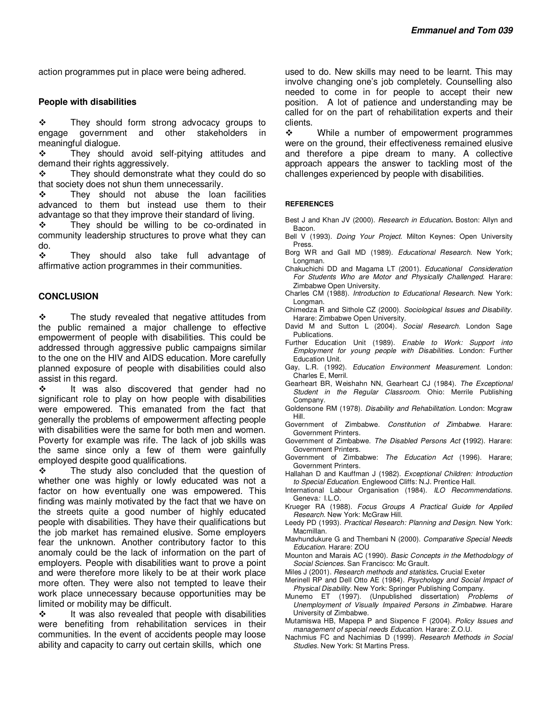action programmes put in place were being adhered.

#### **People with disabilities**

 $\mathbf{\hat{P}}$  They should form strong advocacy groups to engage government and other stakeholders in meaningful dialogue.

\* They should avoid self-pitying attitudes and demand their rights aggressively.

 They should demonstrate what they could do so that society does not shun them unnecessarily.

 $\cdot \cdot$  They should not abuse the loan facilities advanced to them but instead use them to their advantage so that they improve their standard of living.

 $\div$  They should be willing to be co-ordinated in community leadership structures to prove what they can do.

 They should also take full advantage of affirmative action programmes in their communities.

#### **CONCLUSION**

 $\div$  The study revealed that negative attitudes from the public remained a major challenge to effective empowerment of people with disabilities. This could be addressed through aggressive public campaigns similar to the one on the HIV and AIDS education. More carefully planned exposure of people with disabilities could also assist in this regard.

 $\cdot \cdot$  It was also discovered that gender had no significant role to play on how people with disabilities were empowered. This emanated from the fact that generally the problems of empowerment affecting people with disabilities were the same for both men and women. Poverty for example was rife. The lack of job skills was the same since only a few of them were gainfully employed despite good qualifications.

 $\div$  The study also concluded that the question of whether one was highly or lowly educated was not a factor on how eventually one was empowered. This finding was mainly motivated by the fact that we have on the streets quite a good number of highly educated people with disabilities. They have their qualifications but the job market has remained elusive. Some employers fear the unknown. Another contributory factor to this anomaly could be the lack of information on the part of employers. People with disabilities want to prove a point and were therefore more likely to be at their work place more often. They were also not tempted to leave their work place unnecessary because opportunities may be limited or mobility may be difficult.

 $\cdot \cdot$  It was also revealed that people with disabilities were benefiting from rehabilitation services in their communities. In the event of accidents people may loose ability and capacity to carry out certain skills, which one

used to do. New skills may need to be learnt. This may involve changing one's job completely. Counselling also needed to come in for people to accept their new position. A lot of patience and understanding may be called for on the part of rehabilitation experts and their clients.

 $\div$  While a number of empowerment programmes were on the ground, their effectiveness remained elusive and therefore a pipe dream to many. A collective approach appears the answer to tackling most of the challenges experienced by people with disabilities.

#### **REFERENCES**

Best J and Khan JV (2000). *Research in Education***.** Boston: Allyn and Bacon.

- Bell V (1993). *Doing Your Project*. Milton Keynes: Open University Press.
- Borg WR and Gall MD (1989). *Educational Research*. New York; Longman.
- Chakuchichi DD and Magama LT (2001). *Educational Consideration For Students Who are Motor and Physically Challenged*. Harare: Zimbabwe Open University.
- Charles CM (1988). *Introduction to Educational Research.* New York: Longman.
- Chimedza R and Sithole CZ (2000). *Sociological Issues and Disability.* Harare: Zimbabwe Open University.
- David M and Sutton L (2004). *Social Research*. London Sage Publications.
- Further Education Unit (1989). *Enable to Work: Support into Employment for young people with Disabilities.* London: Further Education Unit.
- Gay, L.R. (1992). *Education Environment Measurement*. London: Charles E, Merril.
- Gearheart BR, Weishahn NN, Gearheart CJ (1984). *The Exceptional Student in the Regular Classroom.* Ohio: Merrile Publishing Company.
- Goldensone RM (1978). *Disability and Rehabilitation.* London: Mcgraw Hill.
- Government of Zimbabwe. *Constitution of Zimbabwe.* Harare: Government Printers.
- Government of Zimbabwe. *The Disabled Persons Act* **(**1992). Harare: Government Printers.
- Government of Zimbabwe: *The Education Act* (1996). Harare; Government Printers.
- Hallahan D and Kauffman J (1982). *Exceptional Children: Introduction to Special Education.* Englewood Cliffs: N.J. Prentice Hall.
- International Labour Organisation (1984). *ILO Recommendations.*  Geneva*:* I.L.O.
- Krueger RA (1988). *Focus Groups A Practical Guide for Applied Research*. New York: McGraw Hill.
- Leedy PD (1993). *Practical Research: Planning and Design.* New York: Macmillan.
- Mavhundukure G and Thembani N (2000). *Comparative Special Needs Education*. Harare: ZOU
- Mounton and Marais AC (1990). *Basic Concepts in the Methodology of Social Sciences*. San Francisco: Mc Grault.
- Miles J (2001). *Research methods and statistics***.** Crucial Exeter
- Merinell RP and Dell Otto AE (1984). *Psychology and Social Impact of Physical Disability*. New York: Springer Publishing Company.
- Munemo ET (1997). (Unpublished dissertation) *Problems of Unemployment of Visually Impaired Persons in Zimbabwe*. Harare University of Zimbabwe.
- Mutamiswa HB, Mapepa P and Sixpence F (2004). *Policy Issues and management of special needs Education*. Harare: Z.O.U.
- Nachmius FC and Nachimias D (1999). *Research Methods in Social Studies*. New York: St Martins Press.